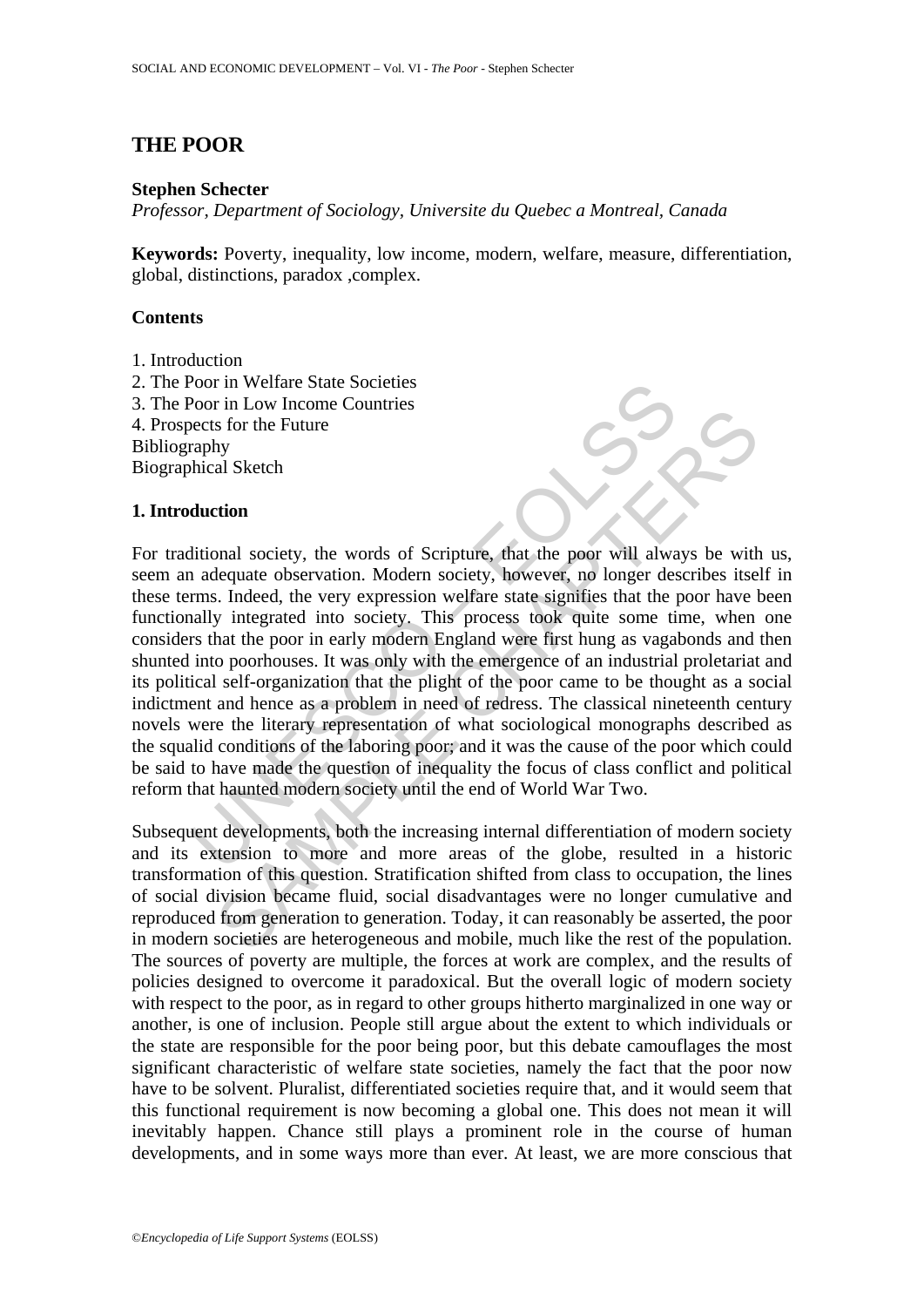# **THE POOR**

### **Stephen Schecter**

*Professor, Department of Sociology, Universite du Quebec a Montreal, Canada* 

**Keywords:** Poverty, inequality, low income, modern, welfare, measure, differentiation, global, distinctions, paradox ,complex.

## **Contents**

- 1. Introduction
- 2. The Poor in Welfare State Societies
- 3. The Poor in Low Income Countries
- 4. Prospects for the Future
- Bibliography
- Biographical Sketch

## **1. Introduction**

From Low Income Countries<br>
From Low Income Countries<br>
Froch in Low Income Countries<br>
recets for the Future<br>
are better of the Future<br>
and a sleed, the very expression welfare state signifies that the plane<br>
rms. Indeed, th In Easy measured the Future of Scripture, that the poor will always be with<br>as Sr or the Future<br>dequate observation. Modern society, however, no longer describes itse<br>s. Indeed, the very expression welfare state signifies For traditional society, the words of Scripture, that the poor will always be with us, seem an adequate observation. Modern society, however, no longer describes itself in these terms. Indeed, the very expression welfare state signifies that the poor have been functionally integrated into society. This process took quite some time, when one considers that the poor in early modern England were first hung as vagabonds and then shunted into poorhouses. It was only with the emergence of an industrial proletariat and its political self-organization that the plight of the poor came to be thought as a social indictment and hence as a problem in need of redress. The classical nineteenth century novels were the literary representation of what sociological monographs described as the squalid conditions of the laboring poor; and it was the cause of the poor which could be said to have made the question of inequality the focus of class conflict and political reform that haunted modern society until the end of World War Two.

Subsequent developments, both the increasing internal differentiation of modern society and its extension to more and more areas of the globe, resulted in a historic transformation of this question. Stratification shifted from class to occupation, the lines of social division became fluid, social disadvantages were no longer cumulative and reproduced from generation to generation. Today, it can reasonably be asserted, the poor in modern societies are heterogeneous and mobile, much like the rest of the population. The sources of poverty are multiple, the forces at work are complex, and the results of policies designed to overcome it paradoxical. But the overall logic of modern society with respect to the poor, as in regard to other groups hitherto marginalized in one way or another, is one of inclusion. People still argue about the extent to which individuals or the state are responsible for the poor being poor, but this debate camouflages the most significant characteristic of welfare state societies, namely the fact that the poor now have to be solvent. Pluralist, differentiated societies require that, and it would seem that this functional requirement is now becoming a global one. This does not mean it will inevitably happen. Chance still plays a prominent role in the course of human developments, and in some ways more than ever. At least, we are more conscious that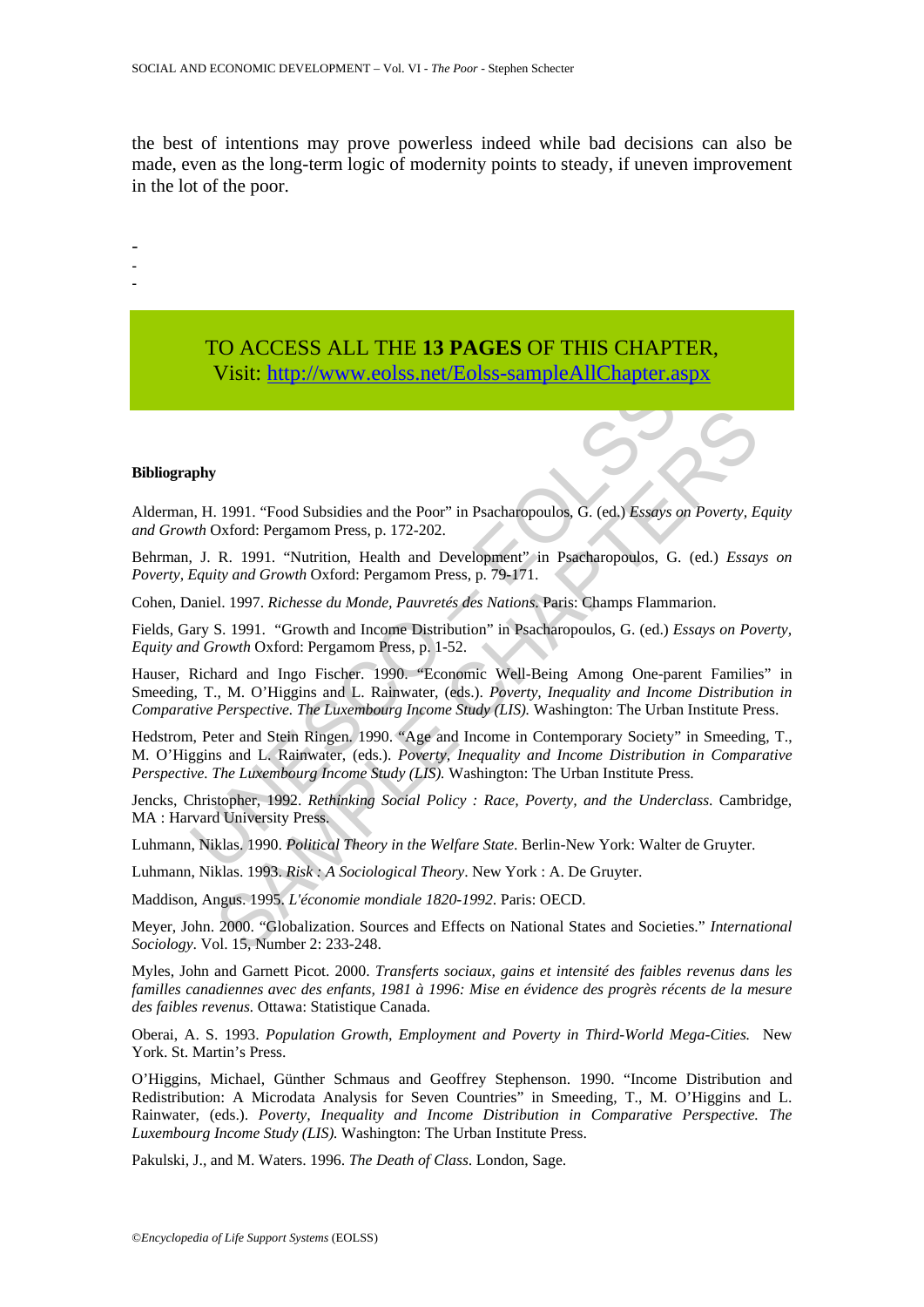the best of intentions may prove powerless indeed while bad decisions can also be made, even as the long-term logic of modernity points to steady, if uneven improvement in the lot of the poor.

-

- -

> TO ACCESS ALL THE **13 PAGES** OF THIS CHAPTER, Visit: http://www.eolss.net/Eolss-sampleAllChapter.aspx

#### **Bibliography**

Alderman, H. 1991. "Food Subsidies and the Poor" in Psacharopoulos, G. (ed.) *Essays on Poverty, Equity and Growth* Oxford: Pergamom Press, p. 172-202.

Behrman, J. R. 1991. "Nutrition, Health and Development" in Psacharopoulos, G. (ed.) *Essays on Poverty, Equity and Growth* Oxford: Pergamom Press, p. 79-171.

Cohen, Daniel. 1997. *Richesse du Monde, Pauvretés des Nations*. Paris: Champs Flammarion.

Fields, Gary S. 1991. "Growth and Income Distribution" in Psacharopoulos, G. (ed.) *Essays on Poverty, Equity and Growth* Oxford: Pergamom Press, p. 1-52.

The United [S](https://www.eolss.net/ebooklib/sc_cart.aspx?File=E1-20-04-06)tates and the Poor" in Psacharopoulos, G. (ed.) Essays with Oxford: Pergamom Press, p. 172-202.<br>
1. R. 1991. "Nutrition, Health and Development" in Psacharopoulos, G. (ed.) Essays with Oxford: Pergamom Press, p 7<br>
1991. "Food Subsidies and the Poor" in Psacharopoulos, G. (ed.) Essays on Poverty. E<br>
2. (1991. "Nutrition, Health and Development" in Psacharopoulos, G. (ed.) Essay<br>
R. 1991. "Nutrition, Health and Development" in Psac Hauser, Richard and Ingo Fischer. 1990. "Economic Well-Being Among One-parent Families" in Smeeding, T., M. O'Higgins and L. Rainwater, (eds.). *Poverty, Inequality and Income Distribution in Comparative Perspective. The Luxembourg Income Study (LIS).* Washington: The Urban Institute Press.

Hedstrom, Peter and Stein Ringen. 1990. "Age and Income in Contemporary Society" in Smeeding, T., M. O'Higgins and L. Rainwater, (eds.). *Poverty, Inequality and Income Distribution in Comparative Perspective. The Luxembourg Income Study (LIS).* Washington: The Urban Institute Press.

Jencks, Christopher, 1992. *Rethinking Social Policy : Race, Poverty, and the Underclass*. Cambridge, MA : Harvard University Press.

Luhmann, Niklas. 1990. *Political Theory in the Welfare State*. Berlin-New York: Walter de Gruyter.

Luhmann, Niklas. 1993. *Risk : A Sociological Theory*. New York : A. De Gruyter.

Maddison, Angus. 1995. *L'économie mondiale 1820-1992*. Paris: OECD.

Meyer, John. 2000. "Globalization. Sources and Effects on National States and Societies." *International Sociology*. Vol. 15, Number 2: 233-248.

Myles, John and Garnett Picot. 2000. *Transferts sociaux, gains et intensité des faibles revenus dans les familles canadiennes avec des enfants, 1981 à 1996: Mise en évidence des progrès récents de la mesure des faibles revenus.* Ottawa: Statistique Canada.

Oberai, A. S. 1993. *Population Growth, Employment and Poverty in Third-World Mega-Cities.* New York. St. Martin's Press.

O'Higgins, Michael, Günther Schmaus and Geoffrey Stephenson. 1990. "Income Distribution and Redistribution: A Microdata Analysis for Seven Countries" in Smeeding, T., M. O'Higgins and L. Rainwater, (eds.). *Poverty, Inequality and Income Distribution in Comparative Perspective. The Luxembourg Income Study (LIS).* Washington: The Urban Institute Press.

Pakulski, J., and M. Waters. 1996. *The Death of Class*. London, Sage.